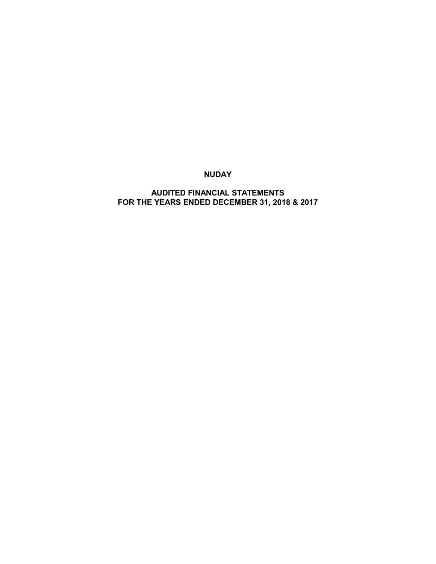# **NUDAY**

### **AUDITED FINANCIAL STATEMENTS FOR THE YEARS ENDED DECEMBER 31, 2018 & 2017**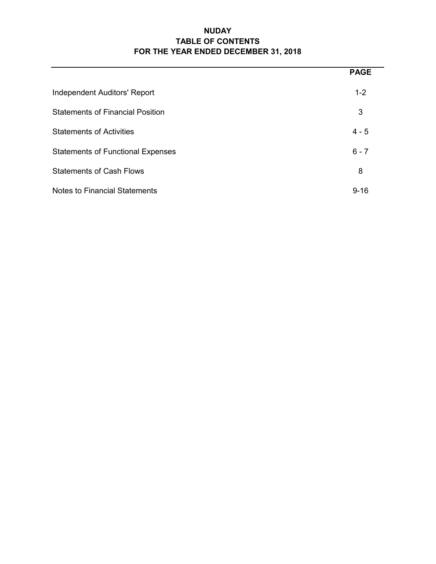# **NUDAY TABLE OF CONTENTS FOR THE YEAR ENDED DECEMBER 31, 2018**

|                                          | <b>PAGE</b> |
|------------------------------------------|-------------|
| Independent Auditors' Report             | $1 - 2$     |
| <b>Statements of Financial Position</b>  | 3           |
| <b>Statements of Activities</b>          | $4 - 5$     |
| <b>Statements of Functional Expenses</b> | $6 - 7$     |
| <b>Statements of Cash Flows</b>          | 8           |
| <b>Notes to Financial Statements</b>     | $9 - 16$    |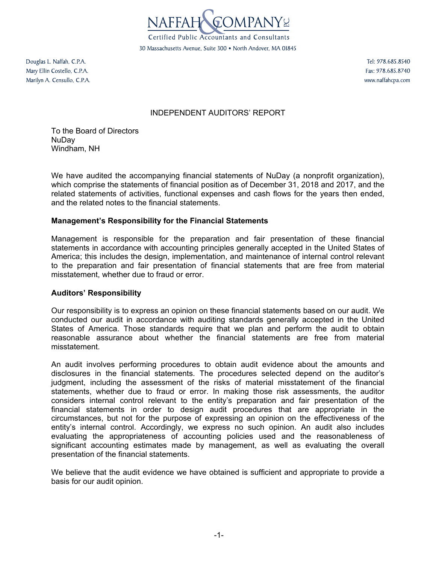

Douglas L. Naffah, C.P.A. Mary Ellin Costello, C.P.A. Marilyn A. Censullo, C.P.A.

Tel: 978.685.8540 Fax: 978.685.8740 www.naffahcpa.com

## INDEPENDENT AUDITORS' REPORT

To the Board of Directors NuDay Windham, NH

We have audited the accompanying financial statements of NuDay (a nonprofit organization), which comprise the statements of financial position as of December 31, 2018 and 2017, and the related statements of activities, functional expenses and cash flows for the years then ended, and the related notes to the financial statements.

## **Management's Responsibility for the Financial Statements**

Management is responsible for the preparation and fair presentation of these financial statements in accordance with accounting principles generally accepted in the United States of America; this includes the design, implementation, and maintenance of internal control relevant to the preparation and fair presentation of financial statements that are free from material misstatement, whether due to fraud or error.

#### **Auditors' Responsibility**

Our responsibility is to express an opinion on these financial statements based on our audit. We conducted our audit in accordance with auditing standards generally accepted in the United States of America. Those standards require that we plan and perform the audit to obtain reasonable assurance about whether the financial statements are free from material misstatement.

An audit involves performing procedures to obtain audit evidence about the amounts and disclosures in the financial statements. The procedures selected depend on the auditor's judgment, including the assessment of the risks of material misstatement of the financial statements, whether due to fraud or error. In making those risk assessments, the auditor considers internal control relevant to the entity's preparation and fair presentation of the financial statements in order to design audit procedures that are appropriate in the circumstances, but not for the purpose of expressing an opinion on the effectiveness of the entity's internal control. Accordingly, we express no such opinion. An audit also includes evaluating the appropriateness of accounting policies used and the reasonableness of significant accounting estimates made by management, as well as evaluating the overall presentation of the financial statements.

We believe that the audit evidence we have obtained is sufficient and appropriate to provide a basis for our audit opinion.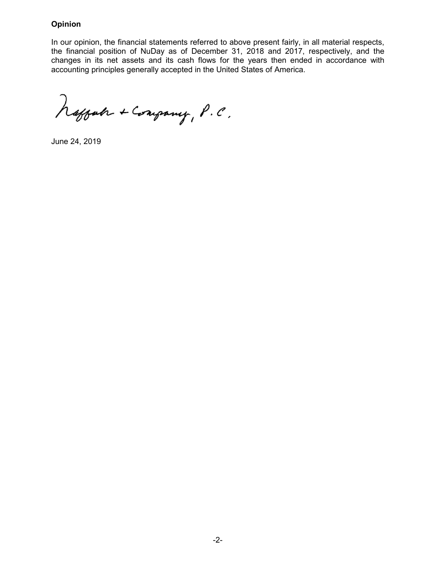## **Opinion**

In our opinion, the financial statements referred to above present fairly, in all material respects, the financial position of NuDay as of December 31, 2018 and 2017, respectively, and the changes in its net assets and its cash flows for the years then ended in accordance with accounting principles generally accepted in the United States of America.

Kaffahr + Congany, P.C.

June 24, 2019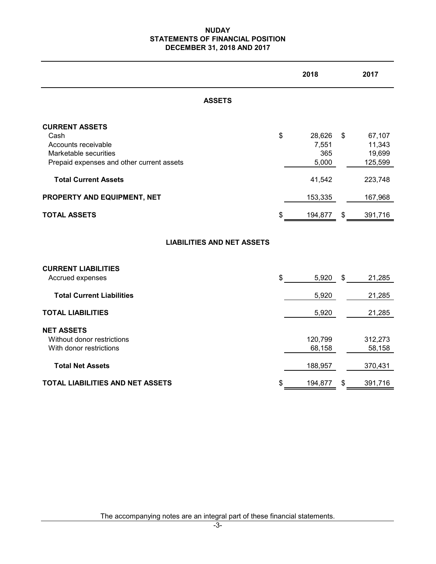#### **NUDAY STATEMENTS OF FINANCIAL POSITION DECEMBER 31, 2018 AND 2017**

|                                                                                                                            |                           | 2018                            | 2017                                        |
|----------------------------------------------------------------------------------------------------------------------------|---------------------------|---------------------------------|---------------------------------------------|
| <b>ASSETS</b>                                                                                                              |                           |                                 |                                             |
| <b>CURRENT ASSETS</b><br>Cash<br>Accounts receivable<br>Marketable securities<br>Prepaid expenses and other current assets | $\boldsymbol{\mathsf{S}}$ | 28,626<br>7,551<br>365<br>5,000 | \$<br>67,107<br>11,343<br>19,699<br>125,599 |
| <b>Total Current Assets</b>                                                                                                |                           | 41,542                          | 223,748                                     |
| PROPERTY AND EQUIPMENT, NET                                                                                                |                           | 153,335                         | 167,968                                     |
| <b>TOTAL ASSETS</b>                                                                                                        |                           | 194,877                         | \$<br>391,716                               |
| <b>LIABILITIES AND NET ASSETS</b>                                                                                          |                           |                                 |                                             |
| <b>CURRENT LIABILITIES</b><br>Accrued expenses                                                                             | \$                        | 5,920                           | \$<br>21,285                                |
| <b>Total Current Liabilities</b>                                                                                           |                           | 5,920                           | 21,285                                      |
| <b>TOTAL LIABILITIES</b>                                                                                                   |                           | 5,920                           | 21,285                                      |
| <b>NET ASSETS</b><br>Without donor restrictions<br>With donor restrictions                                                 |                           | 120,799<br>68,158               | 312,273<br>58,158                           |
| <b>Total Net Assets</b>                                                                                                    |                           | 188,957                         | 370,431                                     |
| <b>TOTAL LIABILITIES AND NET ASSETS</b>                                                                                    |                           | 194,877                         | \$<br>391,716                               |

The accompanying notes are an integral part of these financial statements.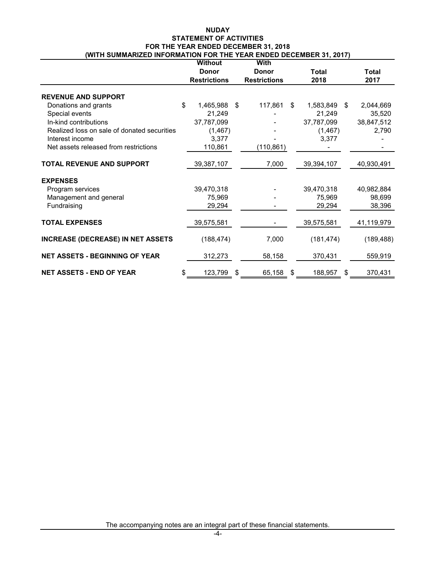#### **NUDAY STATEMENT OF ACTIVITIES FOR THE YEAR ENDED DECEMBER 31, 2018 (WITH SUMMARIZED INFORMATION FOR THE YEAR ENDED DECEMBER 31, 2017)**

|                                             | <b>Without</b>      | <b>With</b>         |                 |                 |
|---------------------------------------------|---------------------|---------------------|-----------------|-----------------|
|                                             | <b>Donor</b>        | <b>Donor</b>        | <b>Total</b>    | <b>Total</b>    |
|                                             | <b>Restrictions</b> | <b>Restrictions</b> | 2018            | 2017            |
| <b>REVENUE AND SUPPORT</b>                  |                     |                     |                 |                 |
| Donations and grants                        | \$<br>1,465,988     | \$<br>117,861       | \$<br>1,583,849 | \$<br>2,044,669 |
| Special events                              | 21,249              |                     | 21,249          | 35,520          |
| In-kind contributions                       | 37,787,099          |                     | 37,787,099      | 38,847,512      |
| Realized loss on sale of donated securities | (1, 467)            |                     | (1, 467)        | 2,790           |
| Interest income                             | 3,377               |                     | 3,377           |                 |
| Net assets released from restrictions       | 110,861             | (110, 861)          |                 |                 |
|                                             |                     |                     |                 |                 |
| <b>TOTAL REVENUE AND SUPPORT</b>            | 39,387,107          | 7,000               | 39,394,107      | 40,930,491      |
|                                             |                     |                     |                 |                 |
| <b>EXPENSES</b>                             |                     |                     |                 |                 |
| Program services                            | 39,470,318          |                     | 39,470,318      | 40,982,884      |
| Management and general                      | 75,969              |                     | 75,969          | 98,699          |
| Fundraising                                 | 29,294              |                     | 29,294          | 38,396          |
|                                             |                     |                     |                 |                 |
| <b>TOTAL EXPENSES</b>                       | 39,575,581          |                     | 39,575,581      | 41,119,979      |
| <b>INCREASE (DECREASE) IN NET ASSETS</b>    | (188, 474)          | 7,000               | (181, 474)      | (189, 488)      |
| <b>NET ASSETS - BEGINNING OF YEAR</b>       | 312,273             | 58,158              | 370,431         | 559,919         |
| <b>NET ASSETS - END OF YEAR</b>             | \$<br>123,799       | \$<br>65,158        | \$<br>188,957   | \$<br>370,431   |

The accompanying notes are an integral part of these financial statements.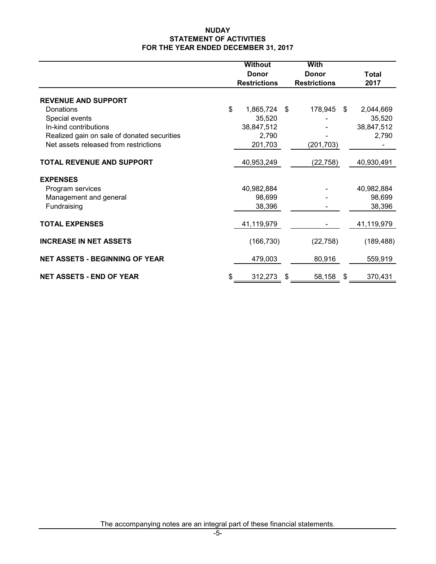#### **NUDAY STATEMENT OF ACTIVITIES FOR THE YEAR ENDED DECEMBER 31, 2017**

|                                             | <b>Without</b>                      | With                                |                 |
|---------------------------------------------|-------------------------------------|-------------------------------------|-----------------|
|                                             | <b>Donor</b><br><b>Restrictions</b> | <b>Donor</b><br><b>Restrictions</b> | Total<br>2017   |
| <b>REVENUE AND SUPPORT</b>                  |                                     |                                     |                 |
| Donations                                   | \$<br>1,865,724                     | \$<br>178,945                       | \$<br>2,044,669 |
| Special events                              | 35,520                              |                                     | 35,520          |
| In-kind contributions                       | 38,847,512                          |                                     | 38,847,512      |
| Realized gain on sale of donated securities | 2,790                               |                                     | 2,790           |
| Net assets released from restrictions       | 201,703                             |                                     |                 |
|                                             |                                     | (201,703)                           |                 |
| <b>TOTAL REVENUE AND SUPPORT</b>            | 40,953,249                          | (22, 758)                           | 40,930,491      |
| <b>EXPENSES</b>                             |                                     |                                     |                 |
| Program services                            | 40,982,884                          |                                     | 40,982,884      |
| Management and general                      | 98,699                              |                                     | 98,699          |
| Fundraising                                 | 38,396                              |                                     | 38,396          |
|                                             |                                     |                                     |                 |
| <b>TOTAL EXPENSES</b>                       | 41,119,979                          |                                     | 41,119,979      |
| <b>INCREASE IN NET ASSETS</b>               | (166, 730)                          | (22, 758)                           | (189, 488)      |
|                                             |                                     |                                     |                 |
| <b>NET ASSETS - BEGINNING OF YEAR</b>       | 479,003                             | 80,916                              | 559,919         |
| <b>NET ASSETS - END OF YEAR</b>             | \$<br>312,273                       | \$<br>58,158                        | \$<br>370,431   |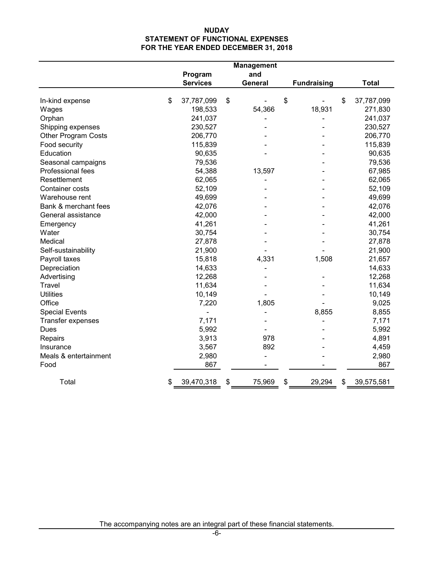### **NUDAY STATEMENT OF FUNCTIONAL EXPENSES FOR THE YEAR ENDED DECEMBER 31, 2018**

|                                      |                  | <b>Management</b> |                    |                  |
|--------------------------------------|------------------|-------------------|--------------------|------------------|
|                                      | Program          | and               |                    |                  |
|                                      | <b>Services</b>  | General           | <b>Fundraising</b> | <b>Total</b>     |
| In-kind expense                      | \$<br>37,787,099 | \$                | \$                 | \$<br>37,787,099 |
| Wages                                | 198,533          | 54,366            | 18,931             | 271,830          |
| Orphan                               | 241,037          |                   |                    | 241,037          |
| Shipping expenses                    | 230,527          |                   |                    | 230,527          |
| <b>Other Program Costs</b>           | 206,770          |                   |                    | 206,770          |
| Food security                        | 115,839          |                   |                    | 115,839          |
| Education                            | 90,635           |                   |                    | 90,635           |
| Seasonal campaigns                   | 79,536           |                   |                    | 79,536           |
| Professional fees                    | 54,388           | 13,597            |                    | 67,985           |
| Resettlement                         | 62,065           |                   |                    | 62,065           |
| Container costs                      | 52,109           |                   |                    | 52,109           |
| Warehouse rent                       | 49,699           |                   |                    | 49,699           |
| Bank & merchant fees                 | 42,076           |                   |                    | 42,076           |
| General assistance                   | 42,000           |                   |                    | 42,000           |
|                                      | 41,261           |                   |                    | 41,261           |
| Emergency<br>Water                   | 30,754           |                   |                    | 30,754           |
| Medical                              | 27,878           |                   |                    | 27,878           |
|                                      | 21,900           |                   |                    | 21,900           |
| Self-sustainability<br>Payroll taxes | 15,818           | 4,331             | 1,508              | 21,657           |
| Depreciation                         | 14,633           |                   |                    | 14,633           |
|                                      |                  |                   |                    |                  |
| Advertising<br>Travel                | 12,268           |                   |                    | 12,268           |
|                                      | 11,634           |                   |                    | 11,634           |
| <b>Utilities</b>                     | 10,149           |                   |                    | 10,149           |
| Office                               | 7,220            | 1,805             |                    | 9,025            |
| <b>Special Events</b>                |                  |                   | 8,855              | 8,855            |
| Transfer expenses                    | 7,171            |                   |                    | 7,171            |
| Dues                                 | 5,992            |                   |                    | 5,992            |
| Repairs                              | 3,913            | 978               |                    | 4,891            |
| Insurance                            | 3,567            | 892               |                    | 4,459            |
| Meals & entertainment                | 2,980            |                   |                    | 2,980            |
| Food                                 | 867              |                   |                    | 867              |
| Total                                | 39,470,318       | \$<br>75,969      | \$<br>29,294       | \$<br>39,575,581 |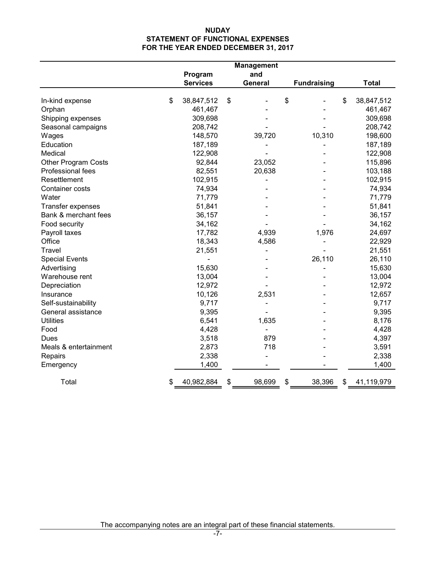### **NUDAY STATEMENT OF FUNCTIONAL EXPENSES FOR THE YEAR ENDED DECEMBER 31, 2017**

|                            |                  | <b>Management</b> |                    |                  |
|----------------------------|------------------|-------------------|--------------------|------------------|
|                            | Program          | and               |                    |                  |
|                            | <b>Services</b>  | General           | <b>Fundraising</b> | <b>Total</b>     |
| In-kind expense            | \$<br>38,847,512 | \$                | \$                 | \$<br>38,847,512 |
| Orphan                     | 461,467          |                   |                    | 461,467          |
| Shipping expenses          | 309,698          |                   |                    | 309,698          |
| Seasonal campaigns         | 208,742          |                   |                    | 208,742          |
| Wages                      | 148,570          | 39,720            | 10,310             | 198,600          |
| Education                  | 187,189          |                   |                    | 187,189          |
| Medical                    | 122,908          |                   |                    | 122,908          |
| <b>Other Program Costs</b> | 92,844           | 23,052            |                    | 115,896          |
| Professional fees          | 82,551           | 20,638            |                    | 103,188          |
| Resettlement               | 102,915          |                   |                    | 102,915          |
| Container costs            | 74,934           |                   |                    | 74,934           |
| Water                      | 71,779           |                   |                    | 71,779           |
| Transfer expenses          | 51,841           |                   |                    | 51,841           |
| Bank & merchant fees       | 36,157           |                   |                    | 36,157           |
| Food security              | 34,162           |                   |                    | 34,162           |
| Payroll taxes              | 17,782           | 4,939             | 1,976              | 24,697           |
| Office                     | 18,343           | 4,586             |                    | 22,929           |
| Travel                     | 21,551           |                   |                    | 21,551           |
| <b>Special Events</b>      |                  |                   | 26,110             | 26,110           |
| Advertising                | 15,630           |                   |                    | 15,630           |
| Warehouse rent             | 13,004           |                   |                    | 13,004           |
| Depreciation               | 12,972           |                   |                    | 12,972           |
| Insurance                  | 10,126           | 2,531             |                    | 12,657           |
| Self-sustainability        | 9,717            |                   |                    | 9,717            |
| General assistance         | 9,395            |                   |                    | 9,395            |
| <b>Utilities</b>           | 6,541            | 1,635             |                    | 8,176            |
| Food                       | 4,428            |                   |                    | 4,428            |
| Dues                       | 3,518            | 879               |                    | 4,397            |
| Meals & entertainment      | 2,873            | 718               |                    | 3,591            |
| Repairs                    | 2,338            |                   |                    | 2,338            |
| Emergency                  | 1,400            |                   |                    | 1,400            |
| Total                      | \$<br>40,982,884 | \$<br>98,699      | \$<br>38,396       | \$<br>41,119,979 |

The accompanying notes are an integral part of these financial statements.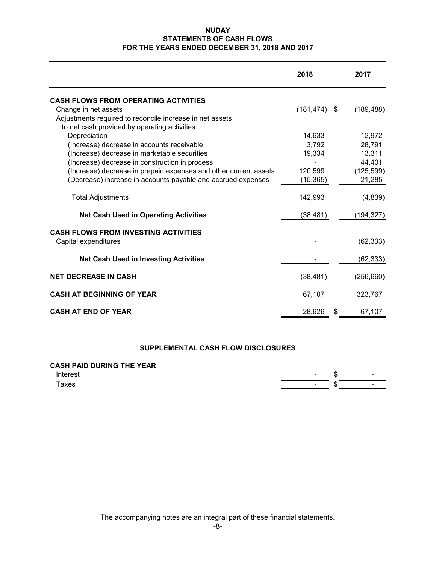#### **NUDAY STATEMENTS OF CASH FLOWS FOR THE YEARS ENDED DECEMBER 31, 2018 AND 2017**

|                                                                                                           | 2018      |    | 2017       |
|-----------------------------------------------------------------------------------------------------------|-----------|----|------------|
| <b>CASH FLOWS FROM OPERATING ACTIVITIES</b>                                                               |           |    |            |
| Change in net assets                                                                                      | (181,474) | S. | (189,488)  |
| Adjustments required to reconcile increase in net assets<br>to net cash provided by operating activities: |           |    |            |
| Depreciation                                                                                              | 14,633    |    | 12,972     |
| (Increase) decrease in accounts receivable                                                                | 3,792     |    | 28,791     |
| (Increase) decrease in marketable securities                                                              | 19,334    |    | 13,311     |
| (Increase) decrease in construction in process                                                            |           |    | 44,401     |
| (Increase) decrease in prepaid expenses and other current assets                                          | 120,599   |    | (125, 599) |
| (Decrease) increase in accounts payable and accrued expenses                                              | (15, 365) |    | 21,285     |
| <b>Total Adjustments</b>                                                                                  | 142,993   |    | (4,839)    |
| <b>Net Cash Used in Operating Activities</b>                                                              | (38, 481) |    | (194, 327) |
| <b>CASH FLOWS FROM INVESTING ACTIVITIES</b>                                                               |           |    |            |
| Capital expenditures                                                                                      |           |    | (62, 333)  |
| <b>Net Cash Used in Investing Activities</b>                                                              |           |    | (62, 333)  |
| <b>NET DECREASE IN CASH</b>                                                                               | (38, 481) |    | (256, 660) |
| <b>CASH AT BEGINNING OF YEAR</b>                                                                          | 67,107    |    | 323,767    |
| <b>CASH AT END OF YEAR</b>                                                                                | 28,626    | \$ | 67,107     |

#### **SUPPLEMENTAL CASH FLOW DISCLOSURES**

#### **CASH PAID DURING THE YEAR**

| 'nterest | $\overline{\phantom{0}}$ |  |
|----------|--------------------------|--|
| axes     | $\overline{\phantom{a}}$ |  |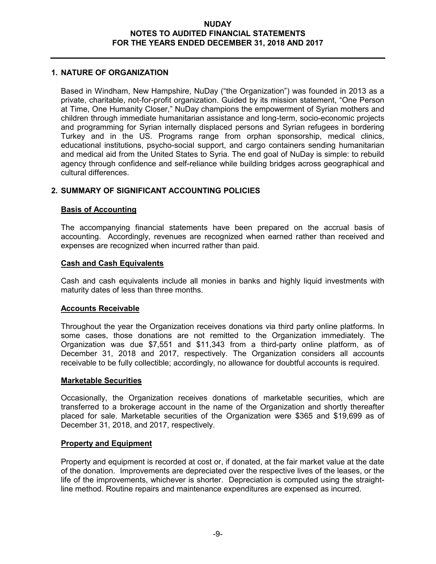### **1. NATURE OF ORGANIZATION**

Based in Windham, New Hampshire, NuDay ("the Organization") was founded in 2013 as a private, charitable, not-for-profit organization. Guided by its mission statement, "One Person at Time, One Humanity Closer," NuDay champions the empowerment of Syrian mothers and children through immediate humanitarian assistance and long-term, socio-economic projects and programming for Syrian internally displaced persons and Syrian refugees in bordering Turkey and in the US. Programs range from orphan sponsorship, medical clinics, educational institutions, psycho-social support, and cargo containers sending humanitarian and medical aid from the United States to Syria. The end goal of NuDay is simple: to rebuild agency through confidence and self-reliance while building bridges across geographical and cultural differences.

## **2. SUMMARY OF SIGNIFICANT ACCOUNTING POLICIES**

#### **Basis of Accounting**

The accompanying financial statements have been prepared on the accrual basis of accounting. Accordingly, revenues are recognized when earned rather than received and expenses are recognized when incurred rather than paid.

#### **Cash and Cash Equivalents**

Cash and cash equivalents include all monies in banks and highly liquid investments with maturity dates of less than three months.

#### **Accounts Receivable**

Throughout the year the Organization receives donations via third party online platforms. In some cases, those donations are not remitted to the Organization immediately. The Organization was due \$7,551 and \$11,343 from a third-party online platform, as of December 31, 2018 and 2017, respectively. The Organization considers all accounts receivable to be fully collectible; accordingly, no allowance for doubtful accounts is required.

#### **Marketable Securities**

Occasionally, the Organization receives donations of marketable securities, which are transferred to a brokerage account in the name of the Organization and shortly thereafter placed for sale. Marketable securities of the Organization were \$365 and \$19,699 as of December 31, 2018, and 2017, respectively.

#### **Property and Equipment**

Property and equipment is recorded at cost or, if donated, at the fair market value at the date of the donation. Improvements are depreciated over the respective lives of the leases, or the life of the improvements, whichever is shorter. Depreciation is computed using the straightline method. Routine repairs and maintenance expenditures are expensed as incurred.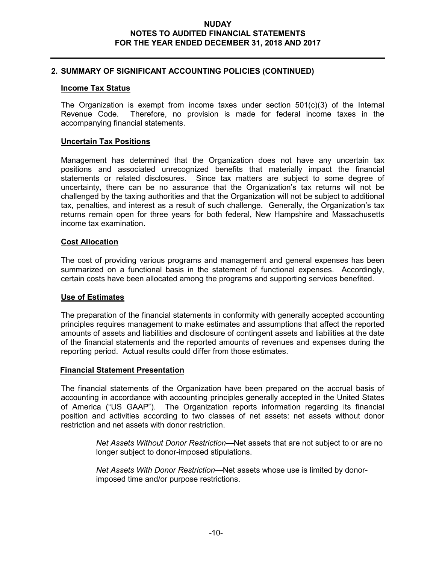### **2. SUMMARY OF SIGNIFICANT ACCOUNTING POLICIES (CONTINUED)**

#### **Income Tax Status**

The Organization is exempt from income taxes under section  $501(c)(3)$  of the Internal Revenue Code. Therefore, no provision is made for federal income taxes in the accompanying financial statements.

#### **Uncertain Tax Positions**

Management has determined that the Organization does not have any uncertain tax positions and associated unrecognized benefits that materially impact the financial statements or related disclosures. Since tax matters are subject to some degree of uncertainty, there can be no assurance that the Organization's tax returns will not be challenged by the taxing authorities and that the Organization will not be subject to additional tax, penalties, and interest as a result of such challenge. Generally, the Organization's tax returns remain open for three years for both federal, New Hampshire and Massachusetts income tax examination.

#### **Cost Allocation**

The cost of providing various programs and management and general expenses has been summarized on a functional basis in the statement of functional expenses. Accordingly, certain costs have been allocated among the programs and supporting services benefited.

#### **Use of Estimates**

The preparation of the financial statements in conformity with generally accepted accounting principles requires management to make estimates and assumptions that affect the reported amounts of assets and liabilities and disclosure of contingent assets and liabilities at the date of the financial statements and the reported amounts of revenues and expenses during the reporting period. Actual results could differ from those estimates.

#### **Financial Statement Presentation**

The financial statements of the Organization have been prepared on the accrual basis of accounting in accordance with accounting principles generally accepted in the United States of America ("US GAAP"). The Organization reports information regarding its financial position and activities according to two classes of net assets: net assets without donor restriction and net assets with donor restriction.

> *Net Assets Without Donor Restriction*—Net assets that are not subject to or are no longer subject to donor-imposed stipulations.

*Net Assets With Donor Restriction*—Net assets whose use is limited by donorimposed time and/or purpose restrictions.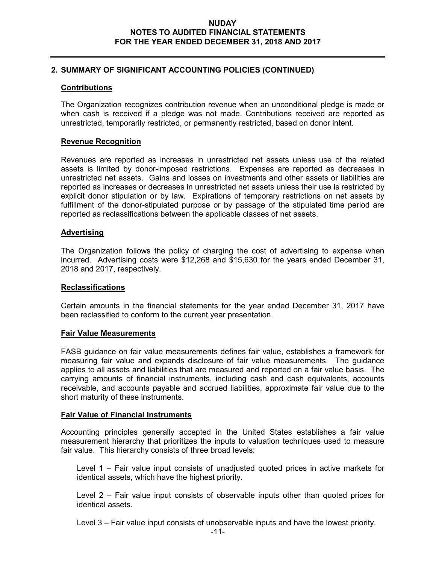### **2. SUMMARY OF SIGNIFICANT ACCOUNTING POLICIES (CONTINUED)**

### **Contributions**

The Organization recognizes contribution revenue when an unconditional pledge is made or when cash is received if a pledge was not made. Contributions received are reported as unrestricted, temporarily restricted, or permanently restricted, based on donor intent.

#### **Revenue Recognition**

Revenues are reported as increases in unrestricted net assets unless use of the related assets is limited by donor-imposed restrictions. Expenses are reported as decreases in unrestricted net assets. Gains and losses on investments and other assets or liabilities are reported as increases or decreases in unrestricted net assets unless their use is restricted by explicit donor stipulation or by law. Expirations of temporary restrictions on net assets by fulfillment of the donor-stipulated purpose or by passage of the stipulated time period are reported as reclassifications between the applicable classes of net assets.

#### **Advertising**

The Organization follows the policy of charging the cost of advertising to expense when incurred. Advertising costs were \$12,268 and \$15,630 for the years ended December 31, 2018 and 2017, respectively.

#### **Reclassifications**

Certain amounts in the financial statements for the year ended December 31, 2017 have been reclassified to conform to the current year presentation.

#### **Fair Value Measurements**

FASB guidance on fair value measurements defines fair value, establishes a framework for measuring fair value and expands disclosure of fair value measurements. The guidance applies to all assets and liabilities that are measured and reported on a fair value basis. The carrying amounts of financial instruments, including cash and cash equivalents, accounts receivable, and accounts payable and accrued liabilities, approximate fair value due to the short maturity of these instruments.

#### **Fair Value of Financial Instruments**

Accounting principles generally accepted in the United States establishes a fair value measurement hierarchy that prioritizes the inputs to valuation techniques used to measure fair value. This hierarchy consists of three broad levels:

Level 1 – Fair value input consists of unadjusted quoted prices in active markets for identical assets, which have the highest priority.

Level 2 – Fair value input consists of observable inputs other than quoted prices for identical assets.

Level 3 – Fair value input consists of unobservable inputs and have the lowest priority.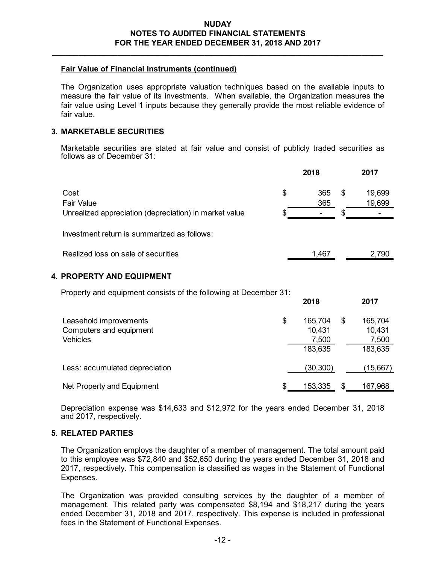**\_\_\_\_\_\_\_\_\_\_\_\_\_\_\_\_\_\_\_\_\_\_\_\_\_\_\_\_\_\_\_\_\_\_\_\_\_\_\_\_\_\_\_\_\_\_\_\_\_\_\_\_\_\_\_\_\_\_\_\_\_\_\_\_\_\_\_\_\_\_\_\_\_\_\_\_**

### **Fair Value of Financial Instruments (continued)**

The Organization uses appropriate valuation techniques based on the available inputs to measure the fair value of its investments. When available, the Organization measures the fair value using Level 1 inputs because they generally provide the most reliable evidence of fair value.

### **3. MARKETABLE SECURITIES**

Marketable securities are stated at fair value and consist of publicly traded securities as follows as of December 31:

|                                                        |    | 2018  | 2017         |
|--------------------------------------------------------|----|-------|--------------|
| Cost                                                   | \$ | 365   | \$<br>19,699 |
| <b>Fair Value</b>                                      |    | 365   | 19,699       |
| Unrealized appreciation (depreciation) in market value | S  |       |              |
| Investment return is summarized as follows:            |    |       |              |
| Realized loss on sale of securities                    |    | 1.467 | 2.790        |

## **4. PROPERTY AND EQUIPMENT**

Property and equipment consists of the following at December 31:

|                                                                      | 2018                                        |   | 2017                                  |
|----------------------------------------------------------------------|---------------------------------------------|---|---------------------------------------|
| Leasehold improvements<br>Computers and equipment<br><b>Vehicles</b> | \$<br>165,704<br>10,431<br>7,500<br>183,635 | S | 165,704<br>10,431<br>7,500<br>183,635 |
| Less: accumulated depreciation                                       | (30, 300)                                   |   | (15,667)                              |
| Net Property and Equipment                                           | \$<br>153,335                               | S | 167,968                               |

Depreciation expense was \$14,633 and \$12,972 for the years ended December 31, 2018 and 2017, respectively.

## **5. RELATED PARTIES**

The Organization employs the daughter of a member of management. The total amount paid to this employee was \$72,840 and \$52,650 during the years ended December 31, 2018 and 2017, respectively. This compensation is classified as wages in the Statement of Functional Expenses.

The Organization was provided consulting services by the daughter of a member of management. This related party was compensated \$8,194 and \$18,217 during the years ended December 31, 2018 and 2017, respectively. This expense is included in professional fees in the Statement of Functional Expenses.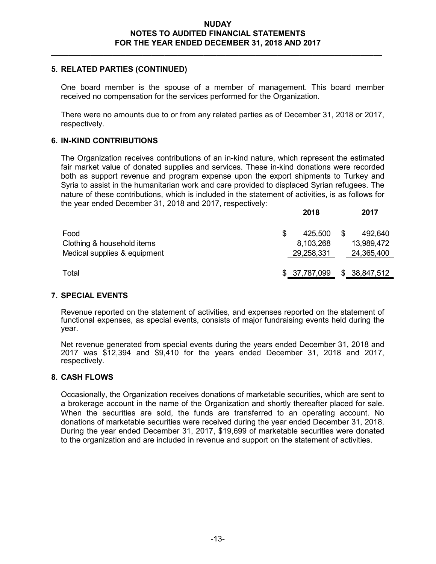**\_\_\_\_\_\_\_\_\_\_\_\_\_\_\_\_\_\_\_\_\_\_\_\_\_\_\_\_\_\_\_\_\_\_\_\_\_\_\_\_\_\_\_\_\_\_\_\_\_\_\_\_\_\_\_\_\_\_\_\_\_\_\_\_\_\_\_\_\_\_\_\_\_\_\_\_**

## **5. RELATED PARTIES (CONTINUED)**

One board member is the spouse of a member of management. This board member received no compensation for the services performed for the Organization.

There were no amounts due to or from any related parties as of December 31, 2018 or 2017, respectively.

## **6. IN-KIND CONTRIBUTIONS**

The Organization receives contributions of an in-kind nature, which represent the estimated fair market value of donated supplies and services. These in-kind donations were recorded both as support revenue and program expense upon the export shipments to Turkey and Syria to assist in the humanitarian work and care provided to displaced Syrian refugees. The nature of these contributions, which is included in the statement of activities, is as follows for the year ended December 31, 2018 and 2017, respectively:

|                              | 2018          | 2017         |
|------------------------------|---------------|--------------|
| Food                         | \$<br>425.500 | 492,640      |
| Clothing & household items   | 8,103,268     | 13,989,472   |
| Medical supplies & equipment | 29,258,331    | 24,365,400   |
|                              |               |              |
| Total                        | \$ 37,787,099 | \$38,847,512 |
|                              |               |              |

## **7. SPECIAL EVENTS**

Revenue reported on the statement of activities, and expenses reported on the statement of functional expenses, as special events, consists of major fundraising events held during the year.

Net revenue generated from special events during the years ended December 31, 2018 and 2017 was \$12,394 and \$9,410 for the years ended December 31, 2018 and 2017, respectively.

## **8. CASH FLOWS**

Occasionally, the Organization receives donations of marketable securities, which are sent to a brokerage account in the name of the Organization and shortly thereafter placed for sale. When the securities are sold, the funds are transferred to an operating account. No donations of marketable securities were received during the year ended December 31, 2018. During the year ended December 31, 2017, \$19,699 of marketable securities were donated to the organization and are included in revenue and support on the statement of activities.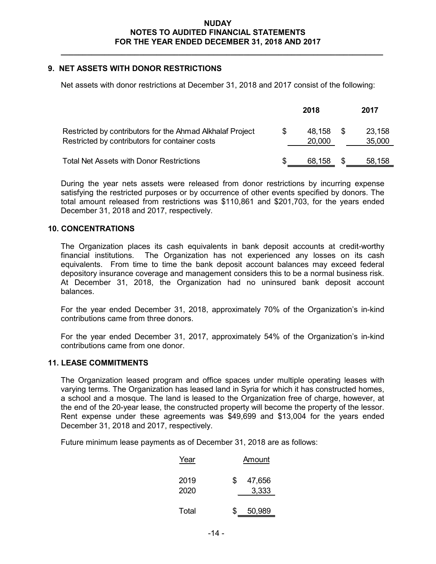**\_\_\_\_\_\_\_\_\_\_\_\_\_\_\_\_\_\_\_\_\_\_\_\_\_\_\_\_\_\_\_\_\_\_\_\_\_\_\_\_\_\_\_\_\_\_\_\_\_\_\_\_\_\_\_\_\_\_\_\_\_\_\_\_\_\_\_\_\_\_\_\_\_\_**

# **9. NET ASSETS WITH DONOR RESTRICTIONS**

Net assets with donor restrictions at December 31, 2018 and 2017 consist of the following:

|                                                                                                             |     | 2018             |      | 2017             |
|-------------------------------------------------------------------------------------------------------------|-----|------------------|------|------------------|
| Restricted by contributors for the Ahmad Alkhalaf Project<br>Restricted by contributors for container costs | \$. | 48.158<br>20,000 | - \$ | 23,158<br>35,000 |
| <b>Total Net Assets with Donor Restrictions</b>                                                             |     | 68.158           |      | 58,158           |

During the year nets assets were released from donor restrictions by incurring expense satisfying the restricted purposes or by occurrence of other events specified by donors. The total amount released from restrictions was \$110,861 and \$201,703, for the years ended December 31, 2018 and 2017, respectively.

## **10. CONCENTRATIONS**

The Organization places its cash equivalents in bank deposit accounts at credit-worthy financial institutions. The Organization has not experienced any losses on its cash equivalents. From time to time the bank deposit account balances may exceed federal depository insurance coverage and management considers this to be a normal business risk. At December 31, 2018, the Organization had no uninsured bank deposit account balances.

For the year ended December 31, 2018, approximately 70% of the Organization's in-kind contributions came from three donors.

For the year ended December 31, 2017, approximately 54% of the Organization's in-kind contributions came from one donor.

#### **11. LEASE COMMITMENTS**

The Organization leased program and office spaces under multiple operating leases with varying terms. The Organization has leased land in Syria for which it has constructed homes, a school and a mosque. The land is leased to the Organization free of charge, however, at the end of the 20-year lease, the constructed property will become the property of the lessor. Rent expense under these agreements was \$49,699 and \$13,004 for the years ended December 31, 2018 and 2017, respectively.

Future minimum lease payments as of December 31, 2018 are as follows:

| Year         | Amount       |  |  |  |
|--------------|--------------|--|--|--|
| 2019<br>2020 | \$<br>47,656 |  |  |  |
|              | 3,333        |  |  |  |
| Total        | \$<br>50,989 |  |  |  |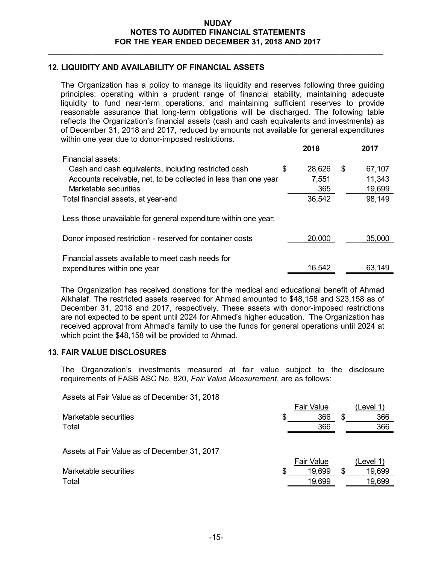**\_\_\_\_\_\_\_\_\_\_\_\_\_\_\_\_\_\_\_\_\_\_\_\_\_\_\_\_\_\_\_\_\_\_\_\_\_\_\_\_\_\_\_\_\_\_\_\_\_\_\_\_\_\_\_\_\_\_\_\_\_\_\_\_\_\_\_\_\_\_\_\_\_\_\_\_\_**

### **12. LIQUIDITY AND AVAILABILITY OF FINANCIAL ASSETS**

The Organization has a policy to manage its liquidity and reserves following three guiding principles: operating within a prudent range of financial stability, maintaining adequate liquidity to fund near-term operations, and maintaining sufficient reserves to provide reasonable assurance that long-term obligations will be discharged. The following table reflects the Organization's financial assets (cash and cash equivalents and investments) as of December 31, 2018 and 2017, reduced by amounts not available for general expenditures within one year due to donor-imposed restrictions.

|                                                                 |    | 2018   |     | 2017   |
|-----------------------------------------------------------------|----|--------|-----|--------|
| Financial assets:                                               |    |        |     |        |
| Cash and cash equivalents, including restricted cash            | \$ | 28,626 | \$. | 67,107 |
| Accounts receivable, net, to be collected in less than one year |    | 7,551  |     | 11,343 |
| Marketable securities                                           |    | 365    |     | 19,699 |
| Total financial assets, at year-end                             |    | 36,542 |     | 98,149 |
| Less those unavailable for general expenditure within one year: |    |        |     |        |
| Donor imposed restriction - reserved for container costs        |    | 20,000 |     | 35,000 |
| Financial assets available to meet cash needs for               |    |        |     |        |
| expenditures within one year                                    |    | 16,542 |     | 63,149 |

The Organization has received donations for the medical and educational benefit of Ahmad Alkhalaf. The restricted assets reserved for Ahmad amounted to \$48,158 and \$23,158 as of December 31, 2018 and 2017, respectively. These assets with donor-imposed restrictions are not expected to be spent until 2024 for Ahmed's higher education. The Organization has received approval from Ahmad's family to use the funds for general operations until 2024 at which point the \$48,158 will be provided to Ahmad.

### **13. FAIR VALUE DISCLOSURES**

The Organization's investments measured at fair value subject to the disclosure requirements of FASB ASC No. 820, *Fair Value Measurement*, are as follows:

Assets at Fair Value as of December 31, 2018

|                                              | all valu <del>c</del> | ו וסעסוו  |
|----------------------------------------------|-----------------------|-----------|
| Marketable securities<br>S                   | 366                   | 366       |
| Total                                        | 366                   | 366       |
| Assets at Fair Value as of December 31, 2017 |                       |           |
|                                              | Fair Value            | (Level 1) |
| Marketable securities<br>S                   | 19,699                | 19,699    |
| Total                                        | 19,699                | 19,699    |

 $Fair$  Value (Level 1)